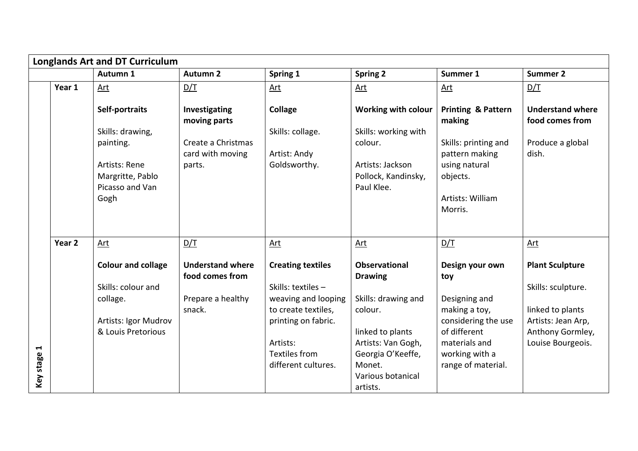|                                   | <b>Longlands Art and DT Curriculum</b> |                                                                                                                 |                                                                                   |                                                                                                                                                                                |                                                                                                                                                                                    |                                                                                                                                                          |                                                                                                                                 |
|-----------------------------------|----------------------------------------|-----------------------------------------------------------------------------------------------------------------|-----------------------------------------------------------------------------------|--------------------------------------------------------------------------------------------------------------------------------------------------------------------------------|------------------------------------------------------------------------------------------------------------------------------------------------------------------------------------|----------------------------------------------------------------------------------------------------------------------------------------------------------|---------------------------------------------------------------------------------------------------------------------------------|
|                                   |                                        | Autumn 1                                                                                                        | <b>Autumn 2</b>                                                                   | Spring 1                                                                                                                                                                       | <b>Spring 2</b>                                                                                                                                                                    | Summer 1                                                                                                                                                 | <b>Summer 2</b>                                                                                                                 |
|                                   | Year 1                                 | <u>Art</u>                                                                                                      | D/T                                                                               | <u>Art</u>                                                                                                                                                                     | <u>Art</u>                                                                                                                                                                         | <u>Art</u>                                                                                                                                               | D/T                                                                                                                             |
|                                   |                                        | Self-portraits<br>Skills: drawing,<br>painting.<br>Artists: Rene<br>Margritte, Pablo<br>Picasso and Van<br>Gogh | Investigating<br>moving parts<br>Create a Christmas<br>card with moving<br>parts. | <b>Collage</b><br>Skills: collage.<br>Artist: Andy<br>Goldsworthy.                                                                                                             | <b>Working with colour</b><br>Skills: working with<br>colour.<br>Artists: Jackson<br>Pollock, Kandinsky,<br>Paul Klee.                                                             | <b>Printing &amp; Pattern</b><br>making<br>Skills: printing and<br>pattern making<br>using natural<br>objects.<br>Artists: William<br>Morris.            | <b>Understand where</b><br>food comes from<br>Produce a global<br>dish.                                                         |
|                                   | Year <sub>2</sub>                      | Art                                                                                                             | D/T                                                                               | Art                                                                                                                                                                            | <u>Art</u>                                                                                                                                                                         | D/T                                                                                                                                                      | <u>Art</u>                                                                                                                      |
| $\blacktriangleleft$<br>Key stage |                                        | <b>Colour and collage</b><br>Skills: colour and<br>collage.<br>Artists: Igor Mudrov<br>& Louis Pretorious       | <b>Understand where</b><br>food comes from<br>Prepare a healthy<br>snack.         | <b>Creating textiles</b><br>Skills: textiles -<br>weaving and looping<br>to create textiles,<br>printing on fabric.<br>Artists:<br><b>Textiles from</b><br>different cultures. | <b>Observational</b><br><b>Drawing</b><br>Skills: drawing and<br>colour.<br>linked to plants<br>Artists: Van Gogh,<br>Georgia O'Keeffe,<br>Monet.<br>Various botanical<br>artists. | Design your own<br>toy<br>Designing and<br>making a toy,<br>considering the use<br>of different<br>materials and<br>working with a<br>range of material. | <b>Plant Sculpture</b><br>Skills: sculpture.<br>linked to plants<br>Artists: Jean Arp,<br>Anthony Gormley,<br>Louise Bourgeois. |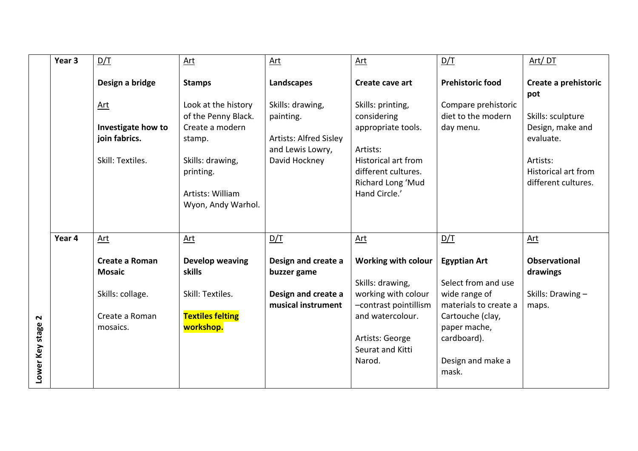|                           | Year 3 | D/T                                                            | Art                                                                                                                                                | Art                                                                                                 | Art                                                                                                                                                           | D/T                                                                                                    | Art/DT                                                                                                              |
|---------------------------|--------|----------------------------------------------------------------|----------------------------------------------------------------------------------------------------------------------------------------------------|-----------------------------------------------------------------------------------------------------|---------------------------------------------------------------------------------------------------------------------------------------------------------------|--------------------------------------------------------------------------------------------------------|---------------------------------------------------------------------------------------------------------------------|
|                           |        | Design a bridge                                                | <b>Stamps</b>                                                                                                                                      | Landscapes                                                                                          | Create cave art                                                                                                                                               | <b>Prehistoric food</b>                                                                                | Create a prehistoric<br>pot                                                                                         |
|                           |        | Art<br>Investigate how to<br>join fabrics.<br>Skill: Textiles. | Look at the history<br>of the Penny Black.<br>Create a modern<br>stamp.<br>Skills: drawing,<br>printing.<br>Artists: William<br>Wyon, Andy Warhol. | Skills: drawing,<br>painting.<br><b>Artists: Alfred Sisley</b><br>and Lewis Lowry,<br>David Hockney | Skills: printing,<br>considering<br>appropriate tools.<br>Artists:<br><b>Historical art from</b><br>different cultures.<br>Richard Long 'Mud<br>Hand Circle.' | Compare prehistoric<br>diet to the modern<br>day menu.                                                 | Skills: sculpture<br>Design, make and<br>evaluate.<br>Artists:<br><b>Historical art from</b><br>different cultures. |
|                           |        |                                                                |                                                                                                                                                    |                                                                                                     |                                                                                                                                                               |                                                                                                        |                                                                                                                     |
|                           | Year 4 | Art                                                            | <u>Art</u>                                                                                                                                         | D/T                                                                                                 | <u>Art</u>                                                                                                                                                    | D/T                                                                                                    | <b>Art</b>                                                                                                          |
|                           |        | <b>Create a Roman</b><br><b>Mosaic</b><br>Skills: collage.     | Develop weaving<br>skills<br>Skill: Textiles.                                                                                                      | Design and create a<br>buzzer game<br>Design and create a                                           | <b>Working with colour</b><br>Skills: drawing,<br>working with colour                                                                                         | <b>Egyptian Art</b><br>Select from and use<br>wide range of                                            | <b>Observational</b><br>drawings<br>Skills: Drawing -                                                               |
| $\sim$<br>Lower Key stage |        | Create a Roman<br>mosaics.                                     | <b>Textiles felting</b><br>workshop.                                                                                                               | musical instrument                                                                                  | -contrast pointillism<br>and watercolour.<br>Artists: George<br>Seurat and Kitti<br>Narod.                                                                    | materials to create a<br>Cartouche (clay,<br>paper mache,<br>cardboard).<br>Design and make a<br>mask. | maps.                                                                                                               |